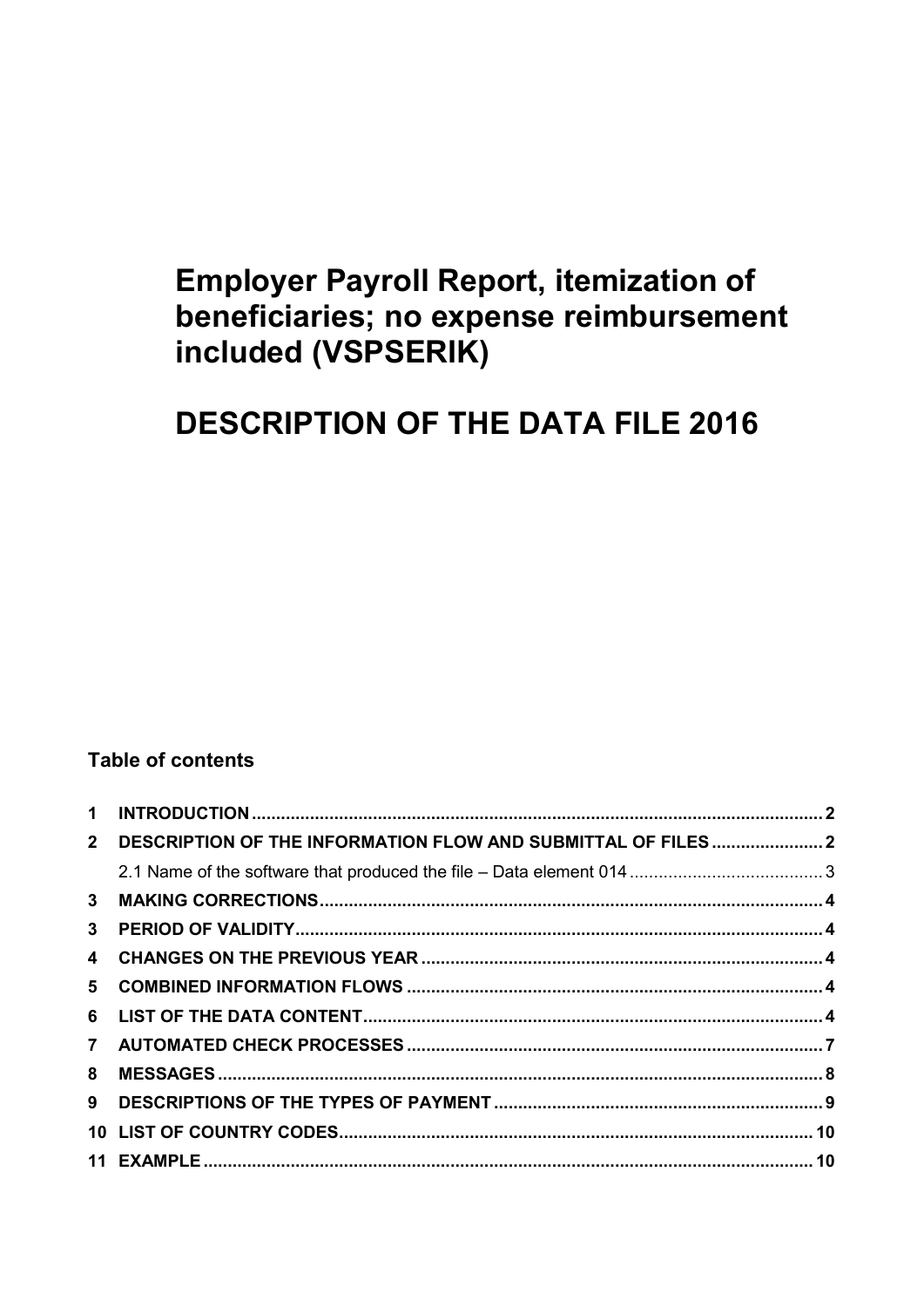# **Employer Payroll Report, itemization of** beneficiaries; no expense reimbursement included (VSPSERIK)

# **DESCRIPTION OF THE DATA FILE 2016**

# **Table of contents**

| $\mathbf 1$    |                                                              |  |
|----------------|--------------------------------------------------------------|--|
| $\mathbf{2}$   | DESCRIPTION OF THE INFORMATION FLOW AND SUBMITTAL OF FILES 2 |  |
|                |                                                              |  |
| 3 <sup>1</sup> |                                                              |  |
| 3 <sup>1</sup> |                                                              |  |
|                |                                                              |  |
|                |                                                              |  |
|                |                                                              |  |
|                |                                                              |  |
| 8              |                                                              |  |
| 9              |                                                              |  |
|                |                                                              |  |
|                |                                                              |  |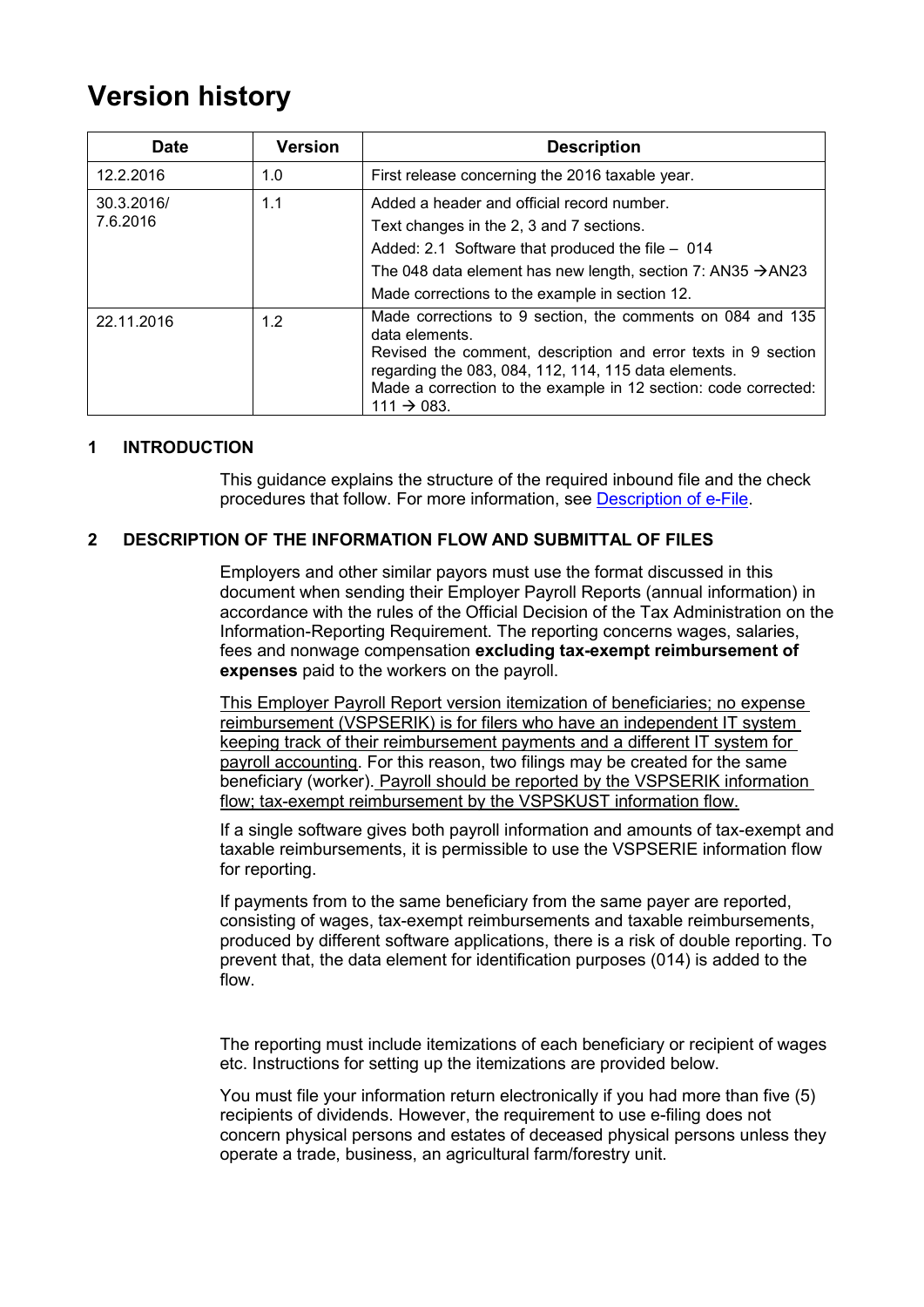# **Version history**

| <b>Date</b>            | <b>Version</b> | <b>Description</b>                                                                                                                                                                                                                                                                                  |
|------------------------|----------------|-----------------------------------------------------------------------------------------------------------------------------------------------------------------------------------------------------------------------------------------------------------------------------------------------------|
| 12.2.2016              | 1.0            | First release concerning the 2016 taxable year.                                                                                                                                                                                                                                                     |
| 30.3.2016/<br>7.6.2016 | 1.1            | Added a header and official record number.<br>Text changes in the 2, 3 and 7 sections.<br>Added: 2.1 Software that produced the file - 014<br>The 048 data element has new length, section 7: AN35 $\rightarrow$ AN23<br>Made corrections to the example in section 12.                             |
| 22.11.2016             | 1.2            | Made corrections to 9 section, the comments on 084 and 135<br>data elements.<br>Revised the comment, description and error texts in 9 section<br>regarding the 083, 084, 112, 114, 115 data elements.<br>Made a correction to the example in 12 section: code corrected:<br>$111 \rightarrow 083$ . |

## <span id="page-1-0"></span>**1 INTRODUCTION**

This guidance explains the structure of the required inbound file and the check procedures that follow. For more information, see [Description of e-File.](http://www.vero.fi/download/Sahkoisen_ilmoittamisen_yleiskuvaus_ENGL20/%7B956D482C-4A28-48D2-BE25-00112D97AE00%7D/12064)

## <span id="page-1-1"></span>**2 DESCRIPTION OF THE INFORMATION FLOW AND SUBMITTAL OF FILES**

Employers and other similar payors must use the format discussed in this document when sending their Employer Payroll Reports (annual information) in accordance with the rules of the Official Decision of the Tax Administration on the Information-Reporting Requirement. The reporting concerns wages, salaries, fees and nonwage compensation **excluding tax-exempt reimbursement of expenses** paid to the workers on the payroll.

This Employer Payroll Report version itemization of beneficiaries; no expense reimbursement (VSPSERIK) is for filers who have an independent IT system keeping track of their reimbursement payments and a different IT system for payroll accounting. For this reason, two filings may be created for the same beneficiary (worker). Payroll should be reported by the VSPSERIK information flow; tax-exempt reimbursement by the VSPSKUST information flow.

If a single software gives both payroll information and amounts of tax-exempt and taxable reimbursements, it is permissible to use the VSPSERIE information flow for reporting.

If payments from to the same beneficiary from the same payer are reported, consisting of wages, tax-exempt reimbursements and taxable reimbursements, produced by different software applications, there is a risk of double reporting. To prevent that, the data element for identification purposes (014) is added to the flow.

The reporting must include itemizations of each beneficiary or recipient of wages etc. Instructions for setting up the itemizations are provided below.

You must file your information return electronically if you had more than five (5) recipients of dividends. However, the requirement to use e-filing does not concern physical persons and estates of deceased physical persons unless they operate a trade, business, an agricultural farm/forestry unit.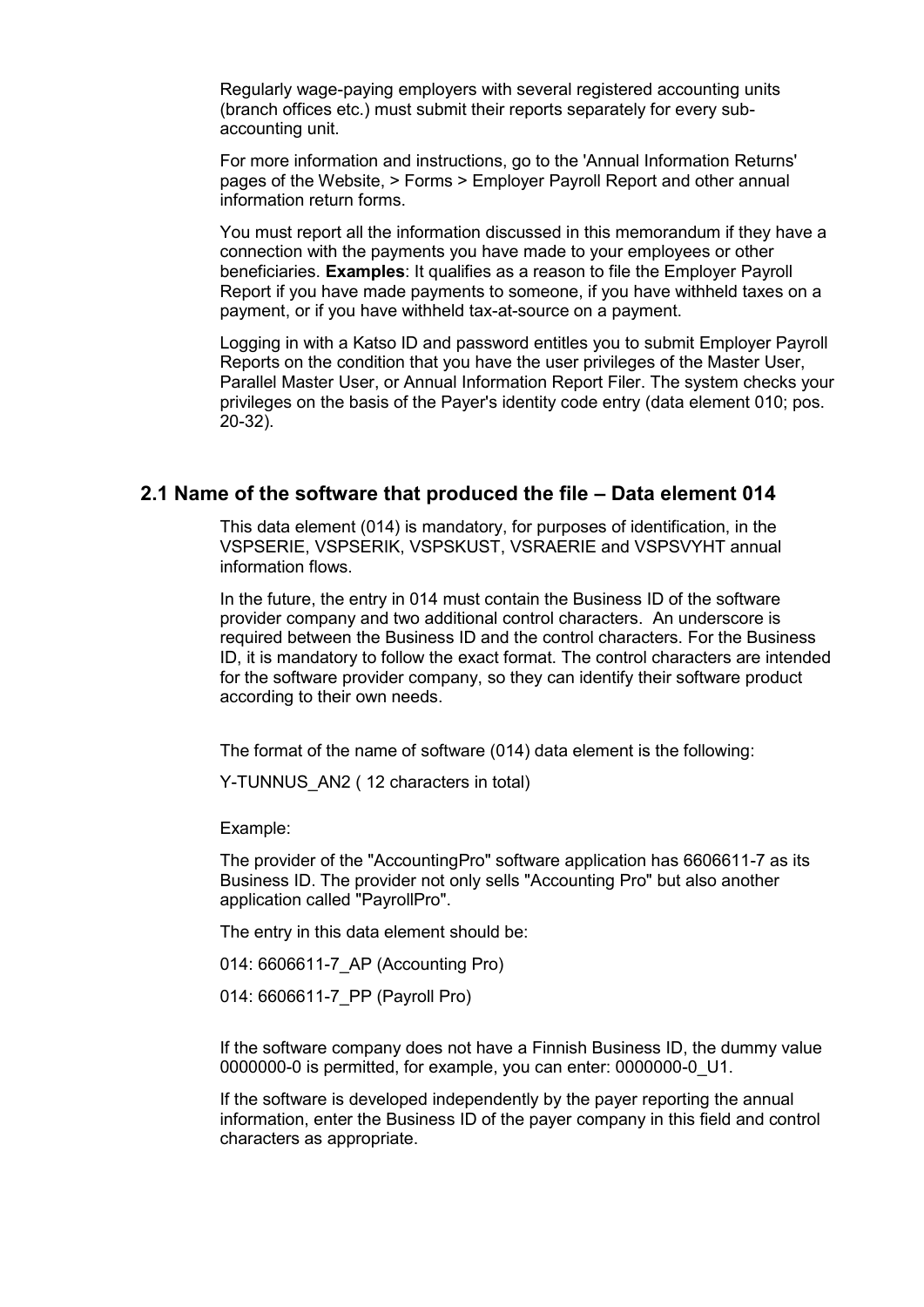Regularly wage-paying employers with several registered accounting units (branch offices etc.) must submit their reports separately for every subaccounting unit.

For more information and instructions, go to the 'Annual Information Returns' pages of the Website, > Forms > Employer Payroll Report and other annual information return forms.

You must report all the information discussed in this memorandum if they have a connection with the payments you have made to your employees or other beneficiaries. **Examples**: It qualifies as a reason to file the Employer Payroll Report if you have made payments to someone, if you have withheld taxes on a payment, or if you have withheld tax-at-source on a payment.

Logging in with a Katso ID and password entitles you to submit Employer Payroll Reports on the condition that you have the user privileges of the Master User, Parallel Master User, or Annual Information Report Filer. The system checks your privileges on the basis of the Payer's identity code entry (data element 010; pos. 20-32).

# <span id="page-2-0"></span>**2.1 Name of the software that produced the file – Data element 014**

This data element (014) is mandatory, for purposes of identification, in the VSPSERIE, VSPSERIK, VSPSKUST, VSRAERIE and VSPSVYHT annual information flows.

In the future, the entry in 014 must contain the Business ID of the software provider company and two additional control characters. An underscore is required between the Business ID and the control characters. For the Business ID, it is mandatory to follow the exact format. The control characters are intended for the software provider company, so they can identify their software product according to their own needs.

The format of the name of software (014) data element is the following:

Y-TUNNUS AN2 ( 12 characters in total)

Example:

The provider of the "AccountingPro" software application has 6606611-7 as its Business ID. The provider not only sells "Accounting Pro" but also another application called "PayrollPro".

The entry in this data element should be:

014: 6606611-7\_AP (Accounting Pro)

014: 6606611-7\_PP (Payroll Pro)

If the software company does not have a Finnish Business ID, the dummy value 0000000-0 is permitted, for example, you can enter: 0000000-0\_U1.

If the software is developed independently by the payer reporting the annual information, enter the Business ID of the payer company in this field and control characters as appropriate.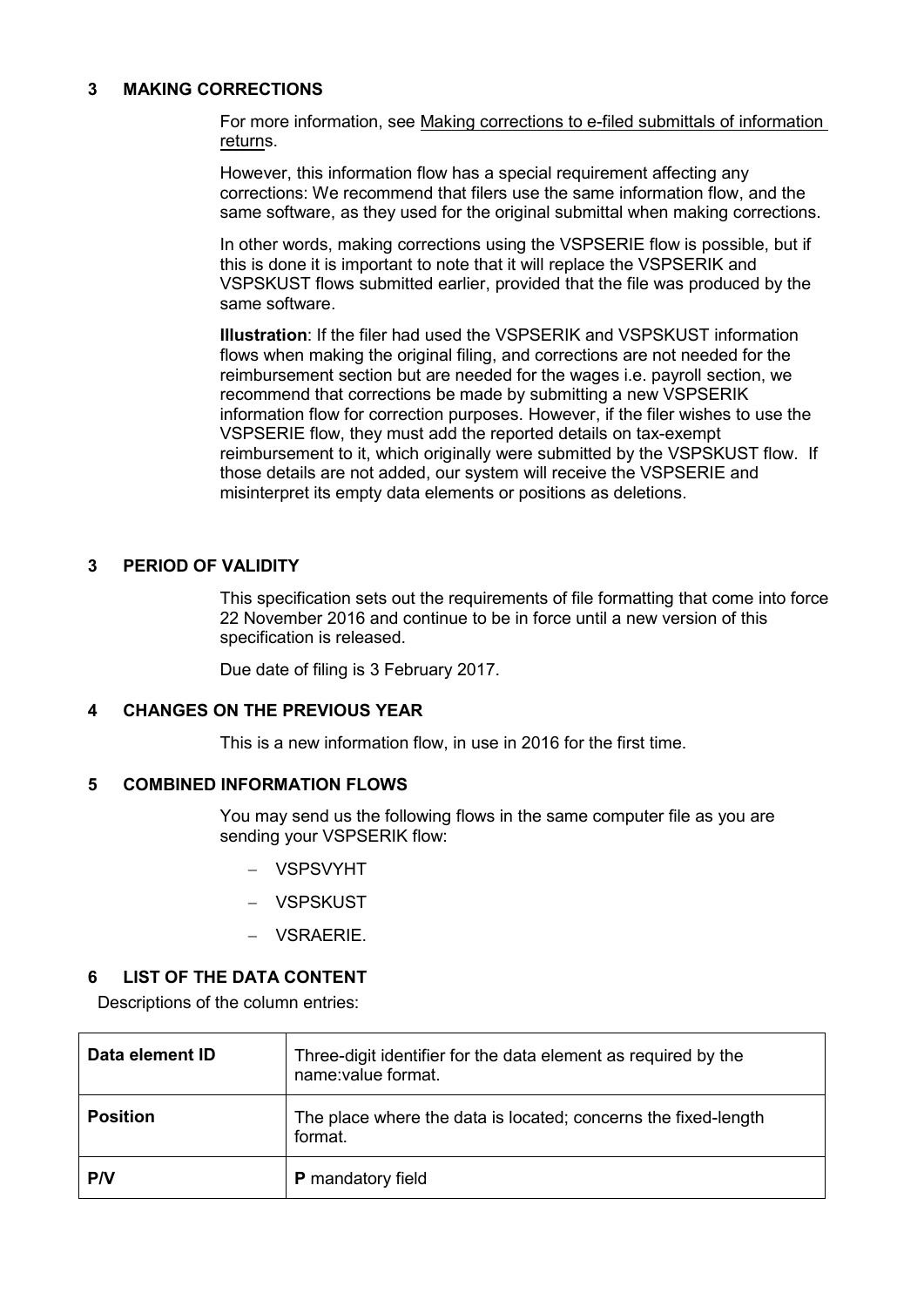### <span id="page-3-0"></span>**3 MAKING CORRECTIONS**

For more information, see Making corrections to e-filed submittals of information returns.

However, this information flow has a special requirement affecting any corrections: We recommend that filers use the same information flow, and the same software, as they used for the original submittal when making corrections.

In other words, making corrections using the VSPSERIE flow is possible, but if this is done it is important to note that it will replace the VSPSERIK and VSPSKUST flows submitted earlier, provided that the file was produced by the same software.

**Illustration**: If the filer had used the VSPSERIK and VSPSKUST information flows when making the original filing, and corrections are not needed for the reimbursement section but are needed for the wages i.e. payroll section, we recommend that corrections be made by submitting a new VSPSERIK information flow for correction purposes. However, if the filer wishes to use the VSPSERIE flow, they must add the reported details on tax-exempt reimbursement to it, which originally were submitted by the VSPSKUST flow. If those details are not added, our system will receive the VSPSERIE and misinterpret its empty data elements or positions as deletions.

### <span id="page-3-1"></span>**3 PERIOD OF VALIDITY**

This specification sets out the requirements of file formatting that come into force 22 November 2016 and continue to be in force until a new version of this specification is released.

Due date of filing is 3 February 2017.

#### <span id="page-3-2"></span>**4 CHANGES ON THE PREVIOUS YEAR**

This is a new information flow, in use in 2016 for the first time.

### <span id="page-3-3"></span>**5 COMBINED INFORMATION FLOWS**

You may send us the following flows in the same computer file as you are sending your VSPSERIK flow:

- VSPSVYHT
- VSPSKUST
- VSRAERIE.

## <span id="page-3-4"></span>**6 LIST OF THE DATA CONTENT**

Descriptions of the column entries:

| Data element ID | Three-digit identifier for the data element as required by the<br>name:value format. |
|-----------------|--------------------------------------------------------------------------------------|
| <b>Position</b> | The place where the data is located; concerns the fixed-length<br>format.            |
| <b>PN</b>       | <b>P</b> mandatory field                                                             |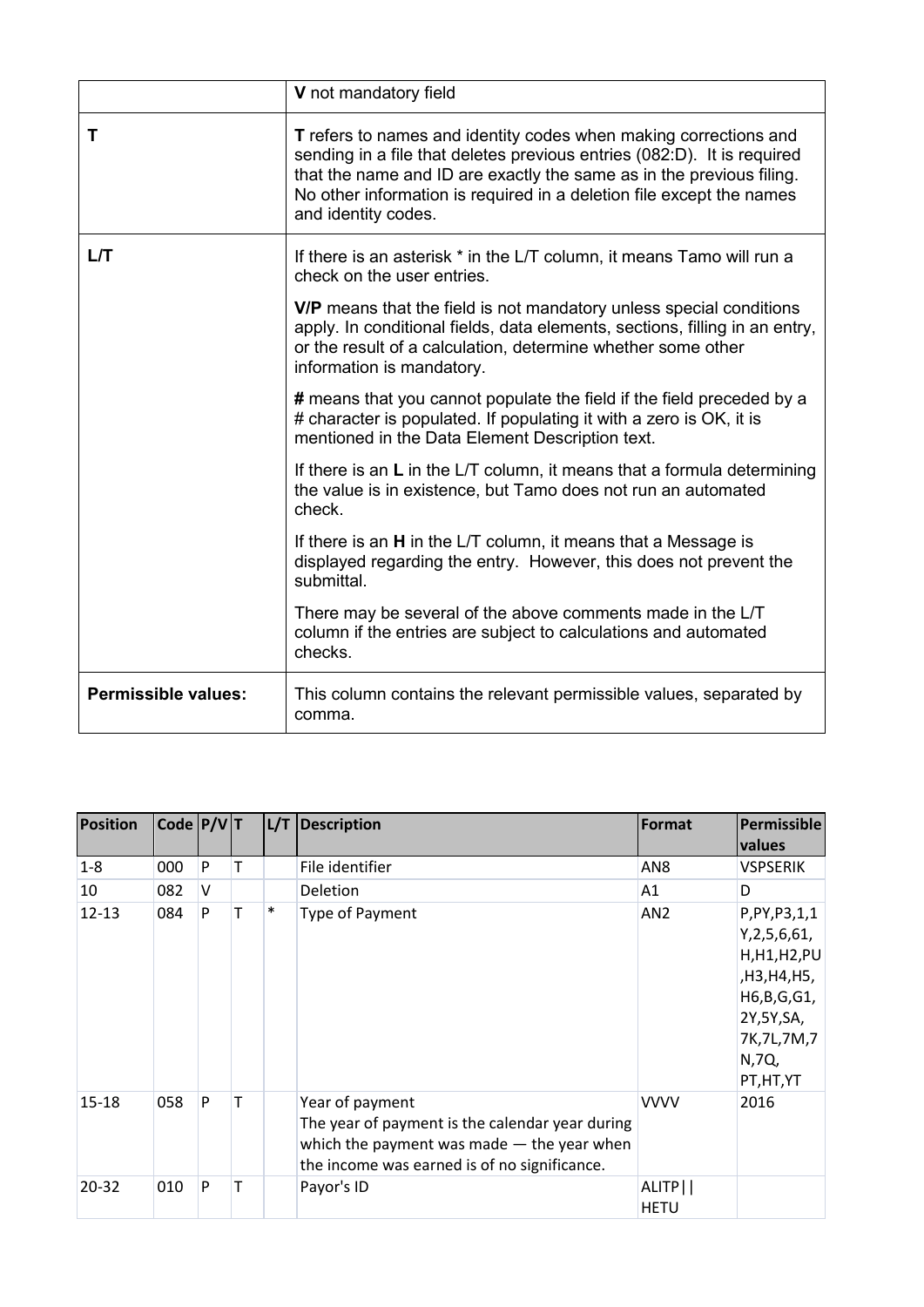|                            | V not mandatory field                                                                                                                                                                                                                                                                                              |
|----------------------------|--------------------------------------------------------------------------------------------------------------------------------------------------------------------------------------------------------------------------------------------------------------------------------------------------------------------|
| т                          | T refers to names and identity codes when making corrections and<br>sending in a file that deletes previous entries (082:D). It is required<br>that the name and ID are exactly the same as in the previous filing.<br>No other information is required in a deletion file except the names<br>and identity codes. |
| L/T                        | If there is an asterisk * in the L/T column, it means Tamo will run a<br>check on the user entries.                                                                                                                                                                                                                |
|                            | V/P means that the field is not mandatory unless special conditions<br>apply. In conditional fields, data elements, sections, filling in an entry,<br>or the result of a calculation, determine whether some other<br>information is mandatory.                                                                    |
|                            | # means that you cannot populate the field if the field preceded by a<br># character is populated. If populating it with a zero is OK, it is<br>mentioned in the Data Element Description text.                                                                                                                    |
|                            | If there is an $L$ in the L/T column, it means that a formula determining<br>the value is in existence, but Tamo does not run an automated<br>check.                                                                                                                                                               |
|                            | If there is an H in the L/T column, it means that a Message is<br>displayed regarding the entry. However, this does not prevent the<br>submittal.                                                                                                                                                                  |
|                            | There may be several of the above comments made in the L/T<br>column if the entries are subject to calculations and automated<br>checks.                                                                                                                                                                           |
| <b>Permissible values:</b> | This column contains the relevant permissible values, separated by<br>comma.                                                                                                                                                                                                                                       |

| Position  | $\vert$ Code $\vert$ P/V $\vert$ T |   |   |        | L/T Description                                                                                                                                                    | Format                            | Permissible<br><b>values</b>                                                                                                      |
|-----------|------------------------------------|---|---|--------|--------------------------------------------------------------------------------------------------------------------------------------------------------------------|-----------------------------------|-----------------------------------------------------------------------------------------------------------------------------------|
| $1 - 8$   | 000                                | P | т |        | File identifier                                                                                                                                                    | AN <sub>8</sub>                   | <b>VSPSERIK</b>                                                                                                                   |
| 10        | 082                                | V |   |        | <b>Deletion</b>                                                                                                                                                    | A1                                | D                                                                                                                                 |
| $12 - 13$ | 084                                | P | T | $\ast$ | Type of Payment                                                                                                                                                    | AN <sub>2</sub>                   | P, PY, P3, 1, 1<br>Y, 2, 5, 6, 61,<br>H,H1,H2,PU<br>,H3,H4,H5,<br>H6,B,G,G1,<br>2Y,5Y,SA,<br>7K, 7L, 7M, 7<br>N,7Q,<br>PT, HT, YT |
| $15 - 18$ | 058                                | P | т |        | Year of payment<br>The year of payment is the calendar year during<br>which the payment was made $-$ the year when<br>the income was earned is of no significance. | <b>VVVV</b>                       | 2016                                                                                                                              |
| 20-32     | 010                                | P | т |        | Payor's ID                                                                                                                                                         | ALITP <sup>I</sup><br><b>HETU</b> |                                                                                                                                   |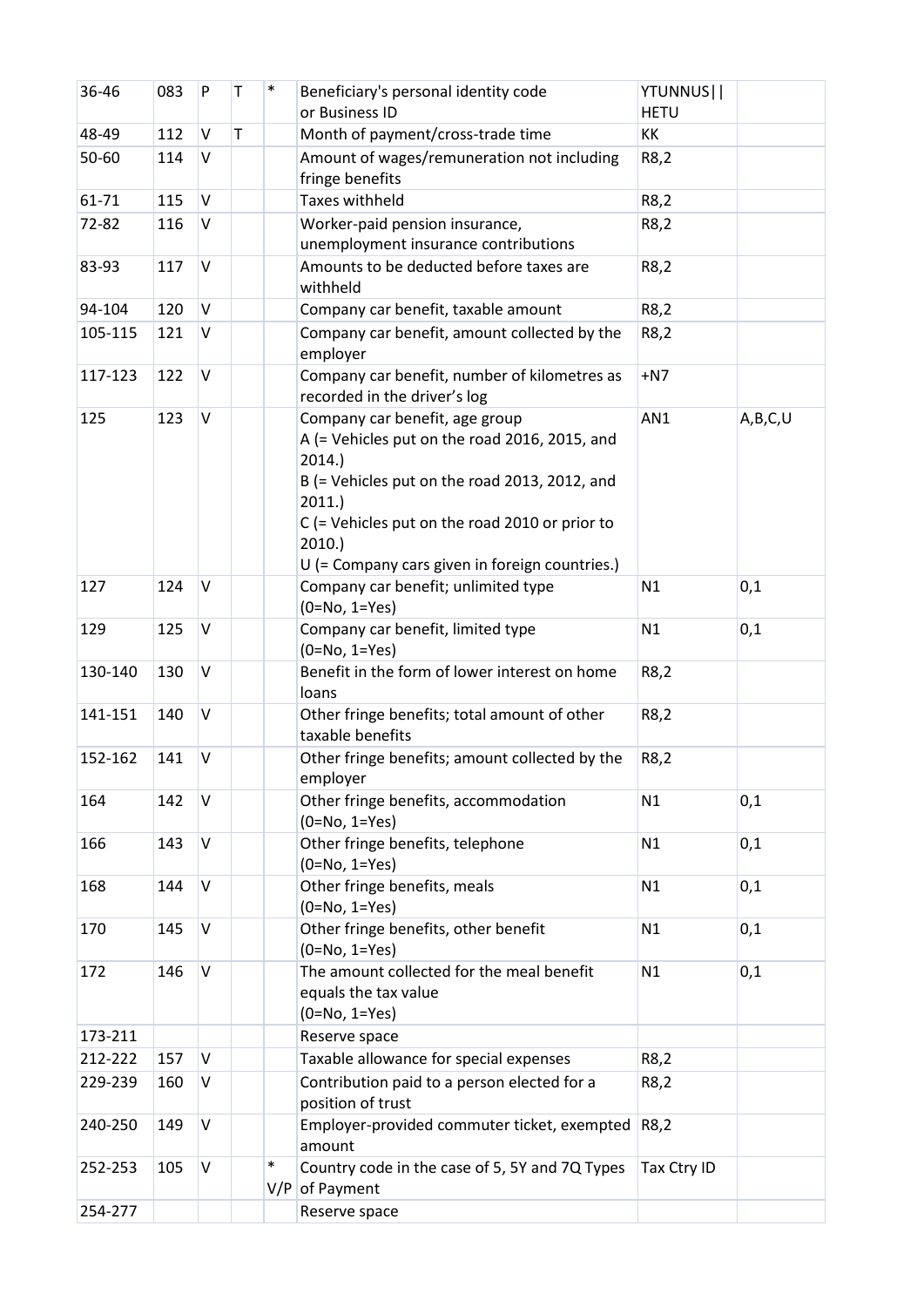| 36-46   | 083 | P      | T | ∗             | Beneficiary's personal identity code                                                                                                                                                                                                                              | YTUNNUS     |         |
|---------|-----|--------|---|---------------|-------------------------------------------------------------------------------------------------------------------------------------------------------------------------------------------------------------------------------------------------------------------|-------------|---------|
|         |     |        |   |               | or Business ID                                                                                                                                                                                                                                                    | <b>HETU</b> |         |
| 48-49   | 112 | $\vee$ | T |               | Month of payment/cross-trade time                                                                                                                                                                                                                                 | KK          |         |
| 50-60   | 114 | V      |   |               | Amount of wages/remuneration not including<br>fringe benefits                                                                                                                                                                                                     | R8,2        |         |
| 61-71   | 115 | $\vee$ |   |               | <b>Taxes withheld</b>                                                                                                                                                                                                                                             | R8,2        |         |
| 72-82   | 116 | V      |   |               | Worker-paid pension insurance,                                                                                                                                                                                                                                    | R8,2        |         |
|         |     |        |   |               | unemployment insurance contributions                                                                                                                                                                                                                              |             |         |
| 83-93   | 117 | V      |   |               | Amounts to be deducted before taxes are<br>withheld                                                                                                                                                                                                               | R8,2        |         |
| 94-104  | 120 | $\vee$ |   |               | Company car benefit, taxable amount                                                                                                                                                                                                                               | R8,2        |         |
| 105-115 | 121 | V      |   |               | Company car benefit, amount collected by the<br>employer                                                                                                                                                                                                          | R8,2        |         |
| 117-123 | 122 | V      |   |               | Company car benefit, number of kilometres as<br>recorded in the driver's log                                                                                                                                                                                      | $+N7$       |         |
| 125     | 123 | V      |   |               | Company car benefit, age group<br>A (= Vehicles put on the road 2016, 2015, and<br>2014.<br>B (= Vehicles put on the road 2013, 2012, and<br>2011.<br>$C$ (= Vehicles put on the road 2010 or prior to<br>2010.<br>U (= Company cars given in foreign countries.) | AN1         | A,B,C,U |
| 127     | 124 | V      |   |               | Company car benefit; unlimited type<br>$(0=No, 1=Yes)$                                                                                                                                                                                                            | N1          | 0,1     |
| 129     | 125 | V      |   |               | Company car benefit, limited type<br>$(0=No, 1=Yes)$                                                                                                                                                                                                              | N1          | 0,1     |
| 130-140 | 130 | V      |   |               | Benefit in the form of lower interest on home<br>loans                                                                                                                                                                                                            | R8,2        |         |
| 141-151 | 140 | V      |   |               | Other fringe benefits; total amount of other<br>taxable benefits                                                                                                                                                                                                  | R8,2        |         |
| 152-162 | 141 | $\vee$ |   |               | Other fringe benefits; amount collected by the<br>employer                                                                                                                                                                                                        | R8,2        |         |
| 164     | 142 | V      |   |               | Other fringe benefits, accommodation<br>$(0=No, 1=Yes)$                                                                                                                                                                                                           | N1          | 0,1     |
| 166     | 143 | V      |   |               | Other fringe benefits, telephone<br>$(0=No, 1=Yes)$                                                                                                                                                                                                               | N1          | 0,1     |
| 168     | 144 | V      |   |               | Other fringe benefits, meals<br>$(0=No, 1=Yes)$                                                                                                                                                                                                                   | N1          | 0,1     |
| 170     | 145 | V      |   |               | Other fringe benefits, other benefit<br>$(0=No, 1=Yes)$                                                                                                                                                                                                           | N1          | 0,1     |
| 172     | 146 | V      |   |               | The amount collected for the meal benefit<br>equals the tax value<br>$(0=No, 1=Yes)$                                                                                                                                                                              | N1          | 0,1     |
| 173-211 |     |        |   |               | Reserve space                                                                                                                                                                                                                                                     |             |         |
| 212-222 | 157 | V      |   |               | Taxable allowance for special expenses                                                                                                                                                                                                                            | R8,2        |         |
| 229-239 | 160 | V      |   |               | Contribution paid to a person elected for a<br>position of trust                                                                                                                                                                                                  | R8,2        |         |
| 240-250 | 149 | V      |   |               | Employer-provided commuter ticket, exempted<br>amount                                                                                                                                                                                                             | R8,2        |         |
| 252-253 | 105 | V      |   | $\ast$<br>V/P | Country code in the case of 5, 5Y and 7Q Types<br>of Payment                                                                                                                                                                                                      | Tax Ctry ID |         |
| 254-277 |     |        |   |               | Reserve space                                                                                                                                                                                                                                                     |             |         |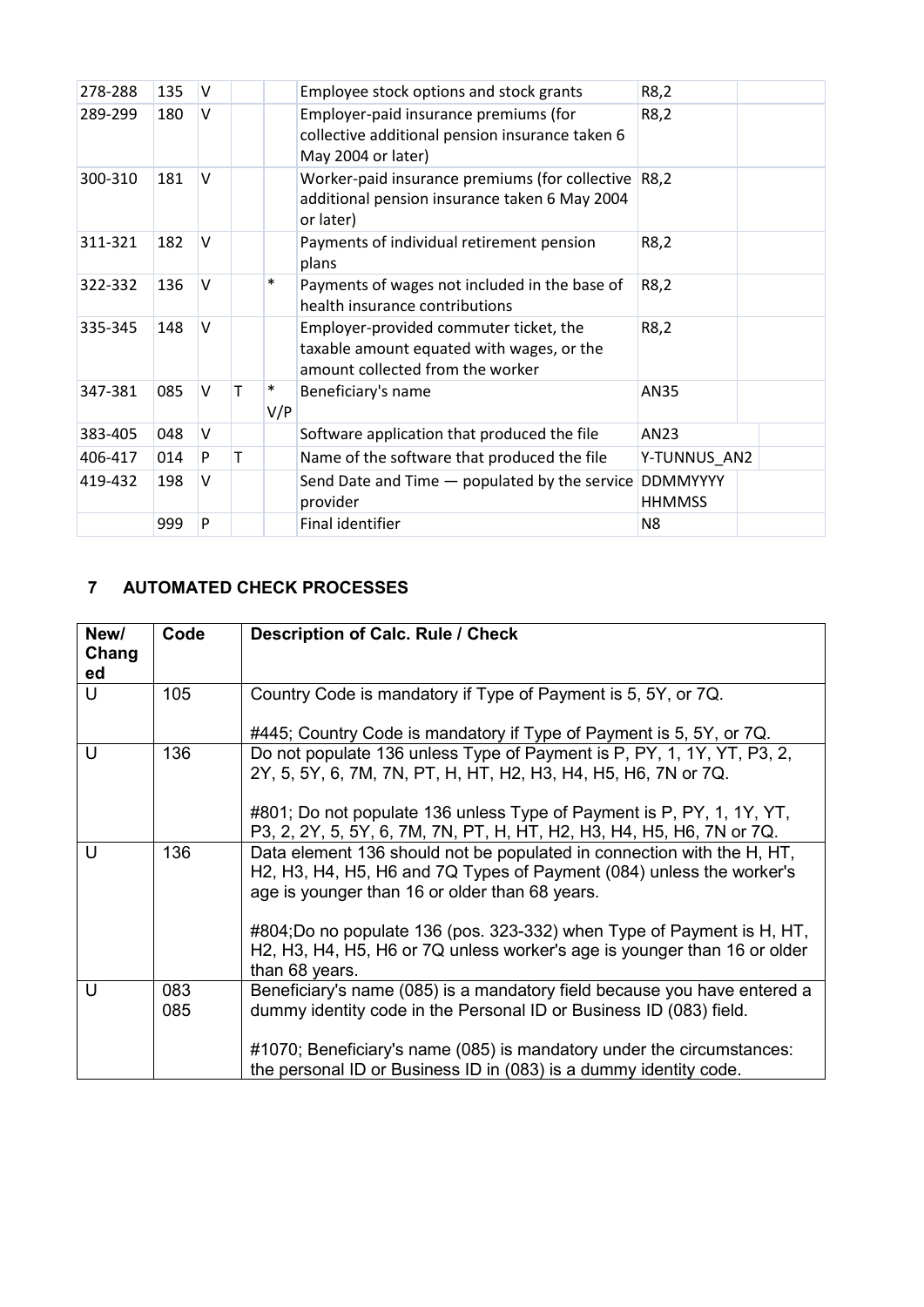| 278-288 | 135 | v |   |               | Employee stock options and stock grants                                                                                     | R8,2                             |  |
|---------|-----|---|---|---------------|-----------------------------------------------------------------------------------------------------------------------------|----------------------------------|--|
| 289-299 | 180 | V |   |               | Employer-paid insurance premiums (for<br>collective additional pension insurance taken 6<br>May 2004 or later)              | R8,2                             |  |
| 300-310 | 181 | V |   |               | Worker-paid insurance premiums (for collective $ R8,2\rangle$<br>additional pension insurance taken 6 May 2004<br>or later) |                                  |  |
| 311-321 | 182 | V |   |               | Payments of individual retirement pension<br>plans                                                                          | R8,2                             |  |
| 322-332 | 136 | v |   | $\ast$        | Payments of wages not included in the base of<br>health insurance contributions                                             | R8,2                             |  |
| 335-345 | 148 | V |   |               | Employer-provided commuter ticket, the<br>taxable amount equated with wages, or the<br>amount collected from the worker     | R8,2                             |  |
| 347-381 | 085 | V | т | $\ast$<br>V/P | Beneficiary's name                                                                                                          | AN35                             |  |
| 383-405 | 048 | V |   |               | Software application that produced the file                                                                                 | AN23                             |  |
| 406-417 | 014 | P | т |               | Name of the software that produced the file                                                                                 | Y-TUNNUS_AN2                     |  |
| 419-432 | 198 | V |   |               | Send Date and Time $-$ populated by the service<br>provider                                                                 | <b>DDMMYYYY</b><br><b>HHMMSS</b> |  |
|         | 999 | P |   |               | Final identifier                                                                                                            | N <sub>8</sub>                   |  |

# <span id="page-6-0"></span>**7 AUTOMATED CHECK PROCESSES**

| New/<br>Chang<br>ed | Code       | <b>Description of Calc. Rule / Check</b>                                                                                                                                                                                                                                                                                                                                                                                                |
|---------------------|------------|-----------------------------------------------------------------------------------------------------------------------------------------------------------------------------------------------------------------------------------------------------------------------------------------------------------------------------------------------------------------------------------------------------------------------------------------|
| U                   | 105        | Country Code is mandatory if Type of Payment is 5, 5Y, or 7Q.<br>#445; Country Code is mandatory if Type of Payment is 5, 5Y, or 7Q.                                                                                                                                                                                                                                                                                                    |
| $\cup$              | 136        | Do not populate 136 unless Type of Payment is P, PY, 1, 1Y, YT, P3, 2,<br>2Y, 5, 5Y, 6, 7M, 7N, PT, H, HT, H2, H3, H4, H5, H6, 7N or 7Q.<br>#801; Do not populate 136 unless Type of Payment is P, PY, 1, 1Y, YT,<br>P3, 2, 2Y, 5, 5Y, 6, 7M, 7N, PT, H, HT, H2, H3, H4, H5, H6, 7N or 7Q.                                                                                                                                              |
| U                   | 136        | Data element 136 should not be populated in connection with the H, HT,<br>H2, H3, H4, H5, H6 and 7Q Types of Payment (084) unless the worker's<br>age is younger than 16 or older than 68 years.<br>#804;Do no populate 136 (pos. 323-332) when Type of Payment is H, HT,<br>H <sub>2</sub> , H <sub>3</sub> , H <sub>4</sub> , H <sub>5</sub> , H <sub>6</sub> or 7Q unless worker's age is younger than 16 or older<br>than 68 years. |
| U                   | 083<br>085 | Beneficiary's name (085) is a mandatory field because you have entered a<br>dummy identity code in the Personal ID or Business ID (083) field.<br>#1070; Beneficiary's name (085) is mandatory under the circumstances:<br>the personal ID or Business ID in (083) is a dummy identity code.                                                                                                                                            |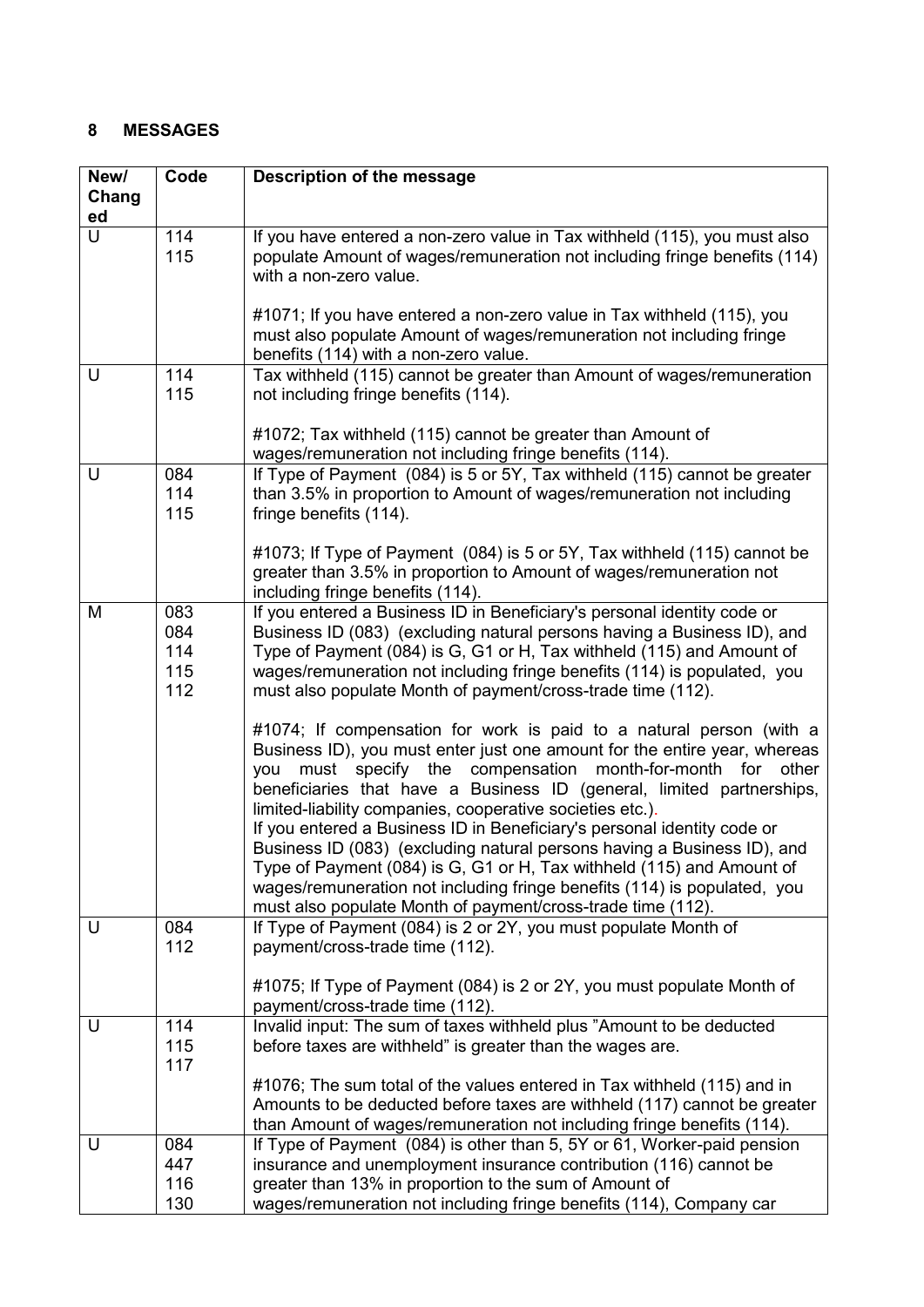# <span id="page-7-0"></span>**8 MESSAGES**

| New/   | Code       | Description of the message                                                                                                                             |
|--------|------------|--------------------------------------------------------------------------------------------------------------------------------------------------------|
| Chang  |            |                                                                                                                                                        |
| ed     |            |                                                                                                                                                        |
| $\cup$ | 114<br>115 | If you have entered a non-zero value in Tax withheld (115), you must also<br>populate Amount of wages/remuneration not including fringe benefits (114) |
|        |            | with a non-zero value.                                                                                                                                 |
|        |            | #1071; If you have entered a non-zero value in Tax withheld (115), you                                                                                 |
|        |            | must also populate Amount of wages/remuneration not including fringe                                                                                   |
| U      | 114        | benefits (114) with a non-zero value.                                                                                                                  |
|        | 115        | Tax withheld (115) cannot be greater than Amount of wages/remuneration<br>not including fringe benefits (114).                                         |
|        |            | #1072; Tax withheld (115) cannot be greater than Amount of                                                                                             |
|        |            | wages/remuneration not including fringe benefits (114).                                                                                                |
| U      | 084        | If Type of Payment (084) is 5 or 5Y, Tax withheld (115) cannot be greater                                                                              |
|        | 114        | than 3.5% in proportion to Amount of wages/remuneration not including                                                                                  |
|        | 115        | fringe benefits (114).                                                                                                                                 |
|        |            | #1073; If Type of Payment (084) is 5 or 5Y, Tax withheld (115) cannot be                                                                               |
|        |            | greater than 3.5% in proportion to Amount of wages/remuneration not                                                                                    |
|        |            | including fringe benefits (114).                                                                                                                       |
| M      | 083        | If you entered a Business ID in Beneficiary's personal identity code or                                                                                |
|        | 084        | Business ID (083) (excluding natural persons having a Business ID), and                                                                                |
|        | 114        | Type of Payment (084) is G, G1 or H, Tax withheld (115) and Amount of                                                                                  |
|        | 115        | wages/remuneration not including fringe benefits (114) is populated, you                                                                               |
|        | 112        | must also populate Month of payment/cross-trade time (112).                                                                                            |
|        |            | #1074; If compensation for work is paid to a natural person (with a                                                                                    |
|        |            | Business ID), you must enter just one amount for the entire year, whereas                                                                              |
|        |            | must specify the compensation month-for-month<br>for<br>other<br>you                                                                                   |
|        |            | beneficiaries that have a Business ID (general, limited partnerships,                                                                                  |
|        |            | limited-liability companies, cooperative societies etc.).                                                                                              |
|        |            | If you entered a Business ID in Beneficiary's personal identity code or                                                                                |
|        |            | Business ID (083) (excluding natural persons having a Business ID), and                                                                                |
|        |            | Type of Payment (084) is G, G1 or H, Tax withheld (115) and Amount of<br>wages/remuneration not including fringe benefits (114) is populated, you      |
|        |            | must also populate Month of payment/cross-trade time (112).                                                                                            |
| U      | 084        | If Type of Payment (084) is 2 or 2Y, you must populate Month of                                                                                        |
|        | 112        | payment/cross-trade time (112).                                                                                                                        |
|        |            | #1075; If Type of Payment (084) is 2 or 2Y, you must populate Month of                                                                                 |
|        |            | payment/cross-trade time (112).                                                                                                                        |
| U      | 114        | Invalid input: The sum of taxes withheld plus "Amount to be deducted                                                                                   |
|        | 115        | before taxes are withheld" is greater than the wages are.                                                                                              |
|        | 117        |                                                                                                                                                        |
|        |            | #1076; The sum total of the values entered in Tax withheld (115) and in                                                                                |
|        |            | Amounts to be deducted before taxes are withheld (117) cannot be greater<br>than Amount of wages/remuneration not including fringe benefits (114).     |
| U      | 084        | If Type of Payment (084) is other than 5, 5Y or 61, Worker-paid pension                                                                                |
|        | 447        | insurance and unemployment insurance contribution (116) cannot be                                                                                      |
|        | 116        | greater than 13% in proportion to the sum of Amount of                                                                                                 |
|        | 130        | wages/remuneration not including fringe benefits (114), Company car                                                                                    |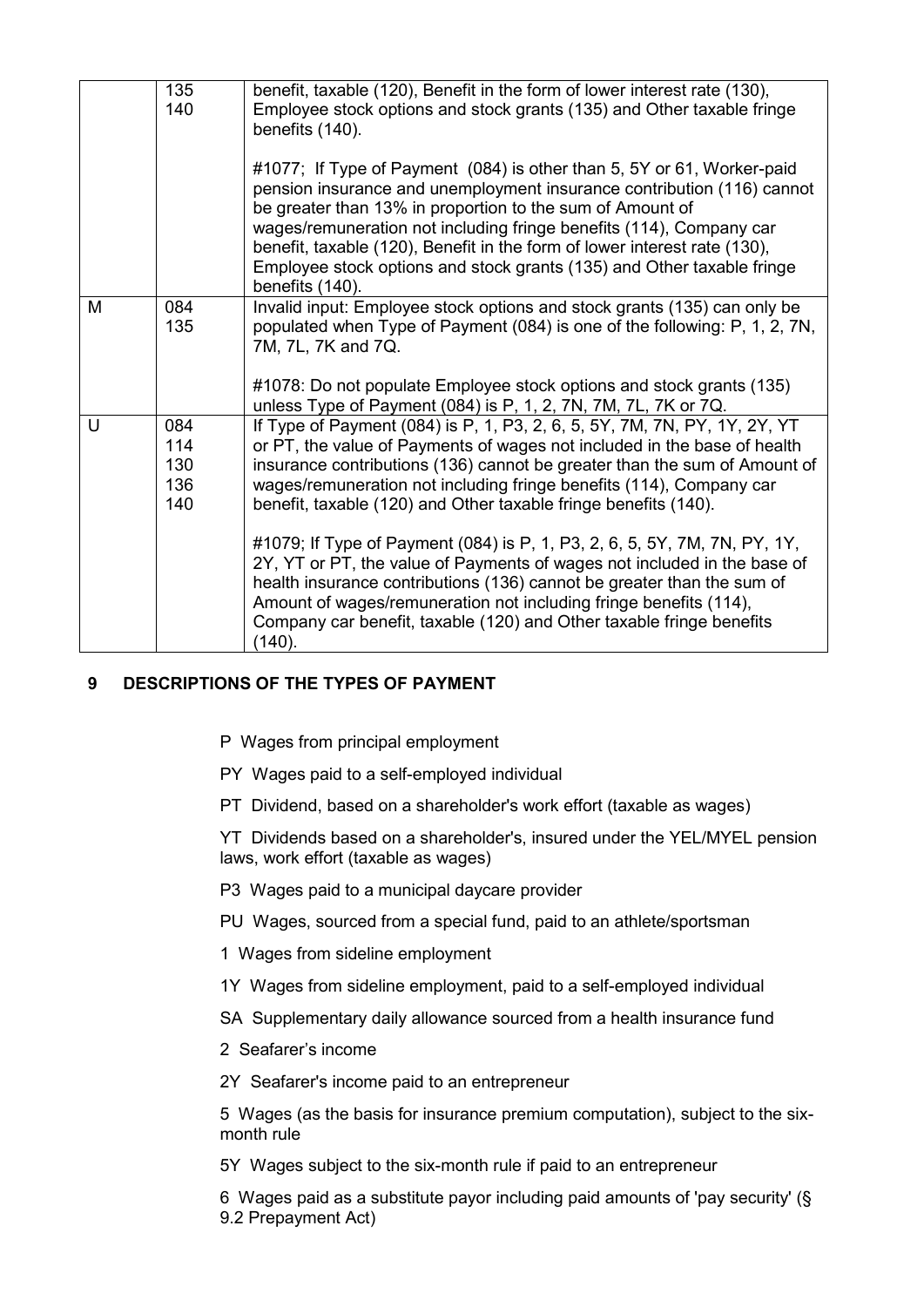|   | 135<br>140                      | benefit, taxable (120), Benefit in the form of lower interest rate (130),<br>Employee stock options and stock grants (135) and Other taxable fringe<br>benefits (140).<br>#1077; If Type of Payment (084) is other than 5, 5Y or 61, Worker-paid<br>pension insurance and unemployment insurance contribution (116) cannot<br>be greater than 13% in proportion to the sum of Amount of<br>wages/remuneration not including fringe benefits (114), Company car<br>benefit, taxable (120), Benefit in the form of lower interest rate (130),<br>Employee stock options and stock grants (135) and Other taxable fringe<br>benefits (140).                                                                                                                               |
|---|---------------------------------|------------------------------------------------------------------------------------------------------------------------------------------------------------------------------------------------------------------------------------------------------------------------------------------------------------------------------------------------------------------------------------------------------------------------------------------------------------------------------------------------------------------------------------------------------------------------------------------------------------------------------------------------------------------------------------------------------------------------------------------------------------------------|
| м | 084<br>135                      | Invalid input: Employee stock options and stock grants (135) can only be<br>populated when Type of Payment (084) is one of the following: P, 1, 2, 7N,<br>7M, 7L, 7K and 7Q.<br>#1078: Do not populate Employee stock options and stock grants (135)<br>unless Type of Payment (084) is P, 1, 2, 7N, 7M, 7L, 7K or 7Q.                                                                                                                                                                                                                                                                                                                                                                                                                                                 |
| U | 084<br>114<br>130<br>136<br>140 | If Type of Payment (084) is P, 1, P3, 2, 6, 5, 5Y, 7M, 7N, PY, 1Y, 2Y, YT<br>or PT, the value of Payments of wages not included in the base of health<br>insurance contributions (136) cannot be greater than the sum of Amount of<br>wages/remuneration not including fringe benefits (114), Company car<br>benefit, taxable (120) and Other taxable fringe benefits (140).<br>#1079; If Type of Payment (084) is P, 1, P3, 2, 6, 5, 5Y, 7M, 7N, PY, 1Y,<br>2Y, YT or PT, the value of Payments of wages not included in the base of<br>health insurance contributions (136) cannot be greater than the sum of<br>Amount of wages/remuneration not including fringe benefits (114),<br>Company car benefit, taxable (120) and Other taxable fringe benefits<br>(140). |

# <span id="page-8-0"></span>**9 DESCRIPTIONS OF THE TYPES OF PAYMENT**

- P Wages from principal employment
- PY Wages paid to a self-employed individual
- PT Dividend, based on a shareholder's work effort (taxable as wages)

YT Dividends based on a shareholder's, insured under the YEL/MYEL pension laws, work effort (taxable as wages)

- P3 Wages paid to a municipal daycare provider
- PU Wages, sourced from a special fund, paid to an athlete/sportsman
- 1 Wages from sideline employment
- 1Y Wages from sideline employment, paid to a self-employed individual
- SA Supplementary daily allowance sourced from a health insurance fund
- 2 Seafarer's income

2Y Seafarer's income paid to an entrepreneur

5 Wages (as the basis for insurance premium computation), subject to the sixmonth rule

5Y Wages subject to the six-month rule if paid to an entrepreneur

6 Wages paid as a substitute payor including paid amounts of 'pay security' (§ 9.2 Prepayment Act)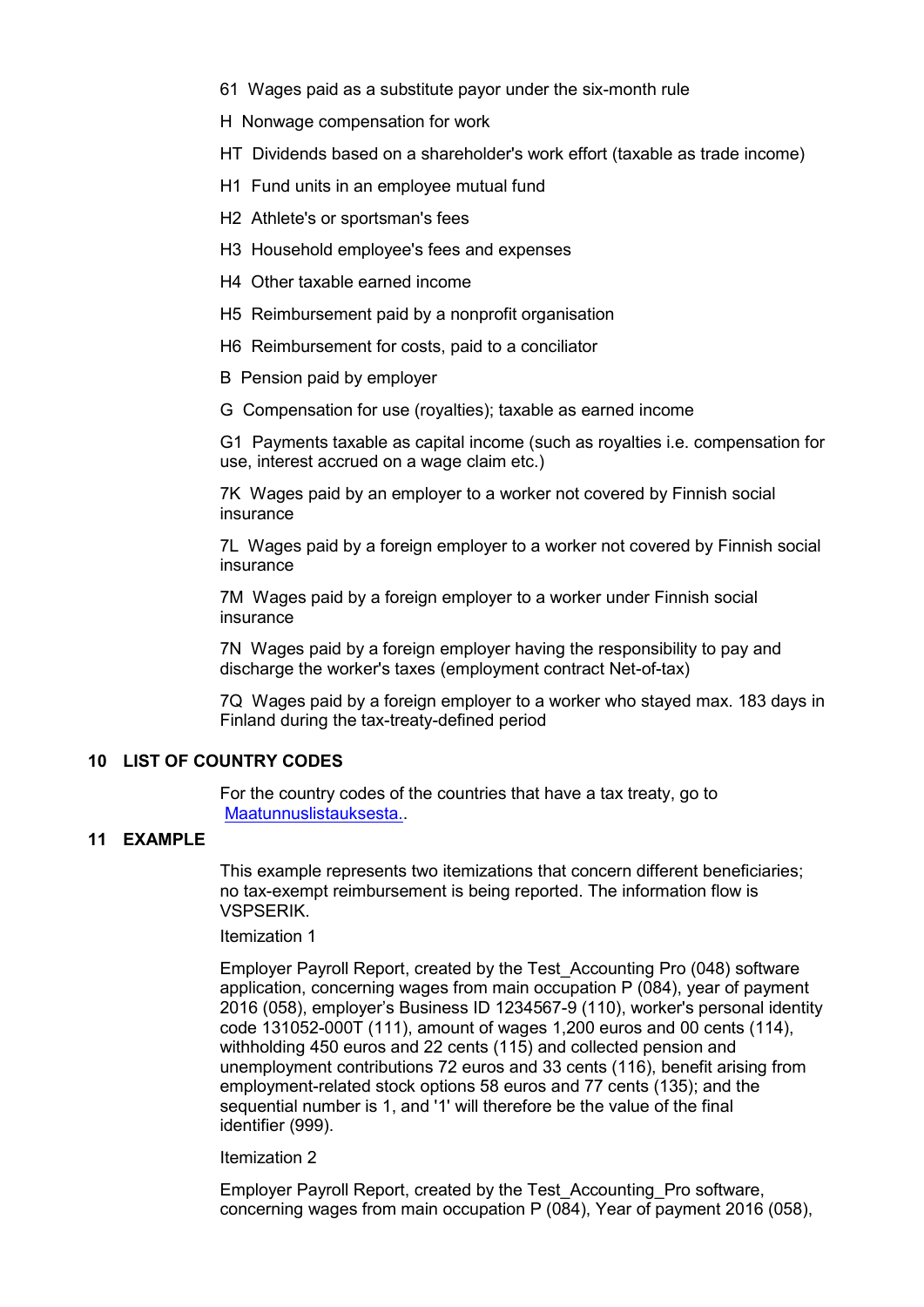- 61 Wages paid as a substitute payor under the six-month rule
- H Nonwage compensation for work
- HT Dividends based on a shareholder's work effort (taxable as trade income)
- H1 Fund units in an employee mutual fund
- H2 Athlete's or sportsman's fees
- H3 Household employee's fees and expenses
- H4 Other taxable earned income
- H5 Reimbursement paid by a nonprofit organisation
- H6 Reimbursement for costs, paid to a conciliator
- B Pension paid by employer
- G Compensation for use (royalties); taxable as earned income

G1 Payments taxable as capital income (such as royalties i.e. compensation for use, interest accrued on a wage claim etc.)

7K Wages paid by an employer to a worker not covered by Finnish social insurance

7L Wages paid by a foreign employer to a worker not covered by Finnish social insurance

7M Wages paid by a foreign employer to a worker under Finnish social insurance

7N Wages paid by a foreign employer having the responsibility to pay and discharge the worker's taxes (employment contract Net-of-tax)

7Q Wages paid by a foreign employer to a worker who stayed max. 183 days in Finland during the tax-treaty-defined period

# <span id="page-9-0"></span>**10 LIST OF COUNTRY CODES**

For the country codes of the countries that have a tax treaty, go to [Maatunnuslistauksesta..](https://www.ilmoitin.fi/webtamo/sivut/ExcelPohjat?2-1.ILinkListener-apuvalineet-maatunnuslistaus_linkki)

# <span id="page-9-1"></span>**11 EXAMPLE**

This example represents two itemizations that concern different beneficiaries; no tax-exempt reimbursement is being reported. The information flow is VSPSERIK.

#### Itemization 1

Employer Payroll Report, created by the Test\_Accounting Pro (048) software application, concerning wages from main occupation P (084), year of payment 2016 (058), employer's Business ID 1234567-9 (110), worker's personal identity code 131052-000T (111), amount of wages 1,200 euros and 00 cents (114), withholding 450 euros and 22 cents (115) and collected pension and unemployment contributions 72 euros and 33 cents (116), benefit arising from employment-related stock options 58 euros and 77 cents (135); and the sequential number is 1, and '1' will therefore be the value of the final identifier (999).

#### Itemization 2

Employer Payroll Report, created by the Test\_Accounting\_Pro software, concerning wages from main occupation P (084), Year of payment 2016 (058),